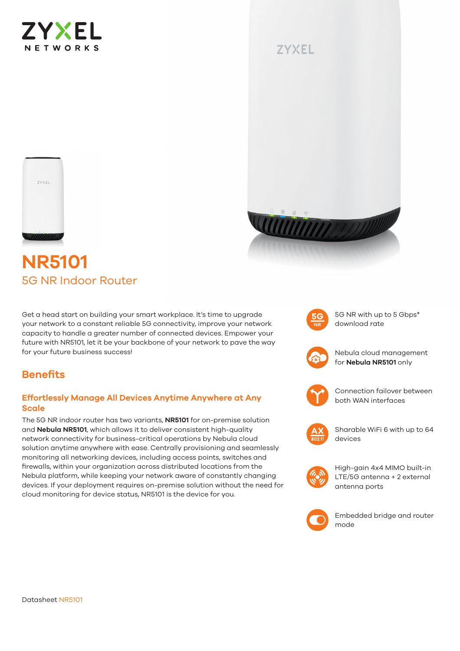

## **ZYXEL**





# **NR5101** 5G NR Indoor Router

Get a head start on building your smart workplace. It's time to upgrade your network to a constant reliable 5G connectivity, improve your network capacity to handle a greater number of connected devices. Empower your future with NR5101, let it be your backbone of your network to pave the way for your future business success!



5G NR with up to 5 Gbps\* download rate



Nebula cloud management for **Nebula NR5101** only



Connection failover between both WAN interfaces



Sharable WiFi 6 with up to 64 devices



High-gain 4x4 MIMO built-in LTE/5G antenna + 2 external antenna ports



Embedded bridge and router mode

## **Benefits**

#### **Effortlessly Manage All Devices Anytime Anywhere at Any Scale**

The 5G NR indoor router has two variants, **NR5101** for on-premise solution and **Nebula NR5101**, which allows it to deliver consistent high-quality network connectivity for business-critical operations by Nebula cloud solution anytime anywhere with ease. Centrally provisioning and seamlessly monitoring all networking devices, including access points, switches and firewalls, within your organization across distributed locations from the Nebula platform, while keeping your network aware of constantly changing devices. If your deployment requires on-premise solution without the need for cloud monitoring for device status, NR5101 is the device for you.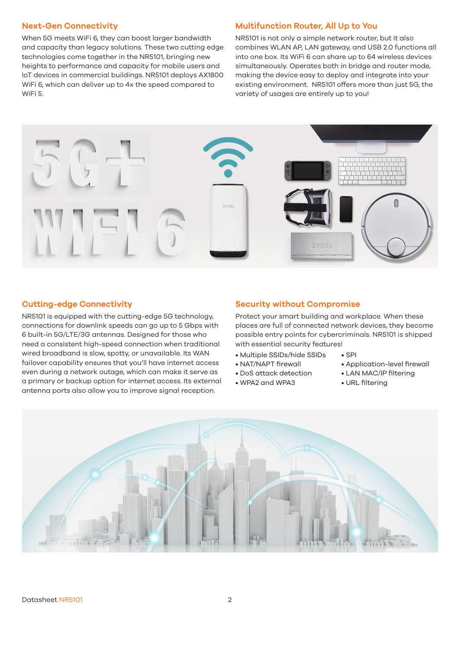#### **Next-Gen Connectivity**

When 5G meets WiFi 6, they can boost larger bandwidth and capacity than legacy solutions. These two cutting edge technologies come together in the NR5101, bringing new heights to performance and capacity for mobile users and IoT devices in commercial buildings. NR5101 deploys AX1800 WiFi 6, which can deliver up to 4x the speed compared to WiFi 5.

#### **Multifunction Router, All Up to You**

NR5101 is not only a simple network router, but it also combines WLAN AP, LAN gateway, and USB 2.0 functions all into one box. Its WiFi 6 can share up to 64 wireless devices simultaneously. Operates both in bridge and router mode, making the device easy to deploy and integrate into your existing environment. NR5101 offers more than just 5G, the variety of usages are entirely up to you!



#### **Cutting-edge Connectivity**

NR5101 is equipped with the cutting-edge 5G technology, connections for downlink speeds can go up to 5 Gbps with 6 built-in 5G/LTE/3G antennas. Designed for those who need a consistent high-speed connection when traditional wired broadband is slow, spotty, or unavailable. Its WAN failover capability ensures that you'll have internet access even during a network outage, which can make it serve as a primary or backup option for internet access. Its external antenna ports also allow you to improve signal reception.

#### **Security without Compromise**

Protect your smart building and workplace. When these places are full of connected network devices, they become possible entry points for cybercriminals. NR5101 is shipped with essential security features!

 $\cdot$  SPI

- Multiple SSIDs/hide SSIDs
- NAT/NAPT firewall
- DoS attack detection
- WPA2 and WPA3
- Application-level firewall
- LAN MAC/IP filtering
- URL filtering

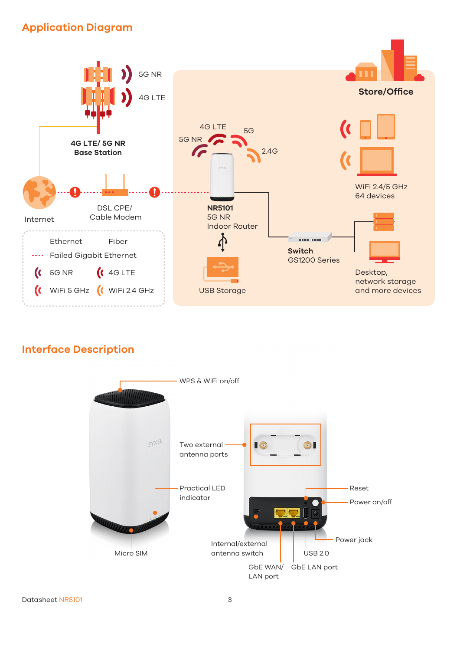## **Application Diagram**



## **Interface Description**

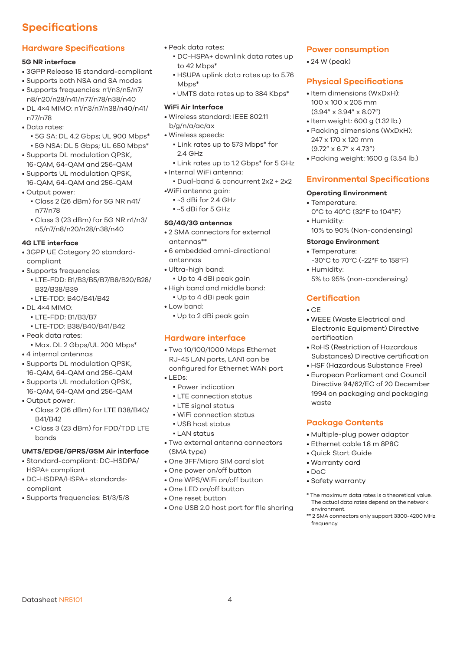## **Specifications**

## **Hardware Specifications**

#### **5G NR interface**

- 3GPP Release 15 standard-compliant
- Supports both NSA and SA modes
- Supports frequencies: n1/n3/n5/n7/ n8/n20/n28/n41/n77/n78/n38/n40
- DL 4×4 MIMO: n1/n3/n7/n38/n40/n41/ n77/n78
- Data rates:
	- 5G SA: DL 4.2 Gbps; UL 900 Mbps\*
	- 5G NSA: DL 5 Gbps; UL 650 Mbps\*
- Supports DL modulation QPSK, 16-QAM, 64-QAM and 256-QAM
- Supports UL modulation QPSK, 16-QAM, 64-QAM and 256-QAM
- Output power:
	- Class 2 (26 dBm) for 5G NR n41/ n77/n78
	- Class 3 (23 dBm) for 5G NR n1/n3/ n5/n7/n8/n20/n28/n38/n40

#### **4G LTE interface**

- 3GPP UE Category 20 standardcompliant
- Supports frequencies:
	- LTE-FDD: B1/B3/B5/B7/B8/B20/B28/ B32/B38/B39
	- LTE-TDD: B40/B41/B42
- DL 4×4 MIMO:
	- LTE-FDD: B1/B3/B7
	- LTE-TDD: B38/B40/B41/B42
- Peak data rates:
	- Max. DL 2 Gbps/UL 200 Mbps\*
- 4 internal antennas
- Supports DL modulation QPSK, 16-QAM, 64-QAM and 256-QAM
- Supports UL modulation QPSK, 16-QAM, 64-QAM and 256-QAM
- Output power:
	- Class 2 (26 dBm) for LTE B38/B40/ B41/B42
	- Class 3 (23 dBm) for FDD/TDD LTE bands

### **UMTS/EDGE/GPRS/GSM Air interface**

Datasheet NR5101 4

- Standard-compliant: DC-HSDPA/ HSPA+ compliant
- DC-HSDPA/HSPA+ standardscompliant
- Supports frequencies: B1/3/5/8
- Peak data rates:
	- DC-HSPA+ downlink data rates up to 42 Mbps\*
	- HSUPA uplink data rates up to 5.76 Mbps\*
	- UMTS data rates up to 384 Kbps\*

#### **WiFi Air Interface**

- Wireless standard: IEEE 802.11 b/g/n/a/ac/ax
- Wireless speeds:
	- Link rates up to 573 Mbps\* for 2.4 GHz
- Link rates up to 1.2 Gbps\* for 5 GHz • Internal WiFi antenna:
- Dual-band & concurrent 2x2 + 2x2 •WiFi antenna gain:
	- ~3 dBi for 2.4 GHz
	- ~5 dBi for 5 GHz

#### **5G/4G/3G antennas**

- 2 SMA connectors for external antennas\*\*
- 6 embedded omni-directional antennas
- Ultra-high band:
- Up to 4 dBi peak gain
- High band and middle band: ▪ Up to 4 dBi peak gain
- Low band:
	- Up to 2 dBi peak gain

### **Hardware interface**

- Two 10/100/1000 Mbps Ethernet RJ-45 LAN ports, LAN1 can be configured for Ethernet WAN port
- LEDs:
	- Power indication
	- **.** LTE connection status
	- LTE signal status
	- WiFi connection status
	- USB host status
	- **.** LAN status
- Two external antenna connectors (SMA type)
- One 3FF/Micro SIM card slot
- One power on/off button
- One WPS/WiFi on/off button
- One LED on/off button
- One reset button
- One USB 2.0 host port for file sharing

#### **Power consumption**

• 24 W (peak)

#### **Physical Specifications**

- Item dimensions (WxDxH): 100 x 100 x 205 mm (3.94" x 3.94" x 8.07")
- Item weight: 600 g (1.32 lb.)
- Packing dimensions (WxDxH): 247 x 170 x 120 mm (9.72" x 6.7" x 4.73")
- Packing weight: 1600 g (3.54 lb.)

#### **Environmental Specifications**

#### **Operating Environment**

- Temperature: 0°C to 40°C (32°F to 104°F)
- Humidity:
- 10% to 90% (Non-condensing)

### **Storage Environment**

- Temperature: -30°C to 70°C (-22°F to 158°F) • Humidity:
- 5% to 95% (non-condensing)

#### **Certification**

#### $\cdot$  CF

- WEEE (Waste Electrical and Electronic Equipment) Directive certification
- RoHS (Restriction of Hazardous Substances) Directive certification
- HSF (Hazardous Substance Free)
- European Parliament and Council Directive 94/62/EC of 20 December 1994 on packaging and packaging waste

#### **Package Contents**

- Multiple-plug power adaptor
- Ethernet cable 1.8 m 8P8C
- Quick Start Guide
- Warranty card
- DoC
- Safety warranty

frequency.

\* The maximum data rates is a theoretical value. The actual data rates depend on the network environment. \*\* 2 SMA connectors only support 3300-4200 MHz